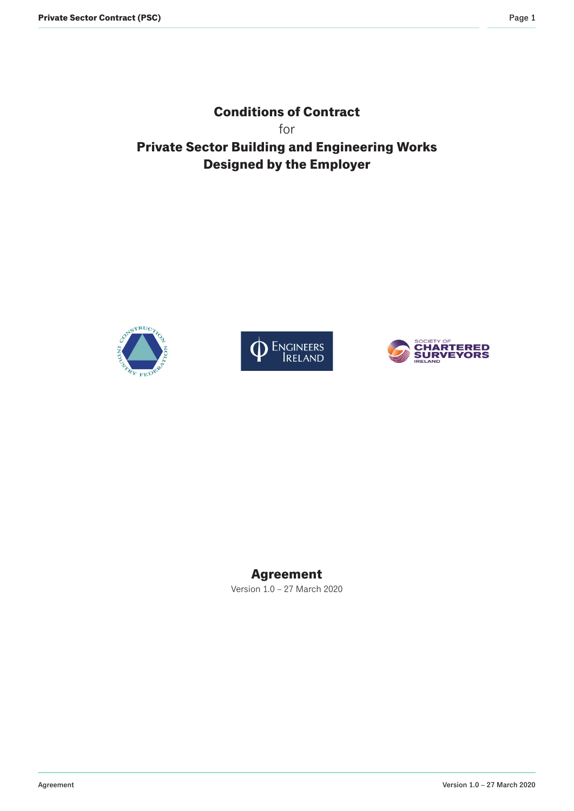**Conditions of Contract** for **Private Sector Building and Engineering Works Designed by the Employer**







# **Agreement**

Version 1.0 – 27 March 2020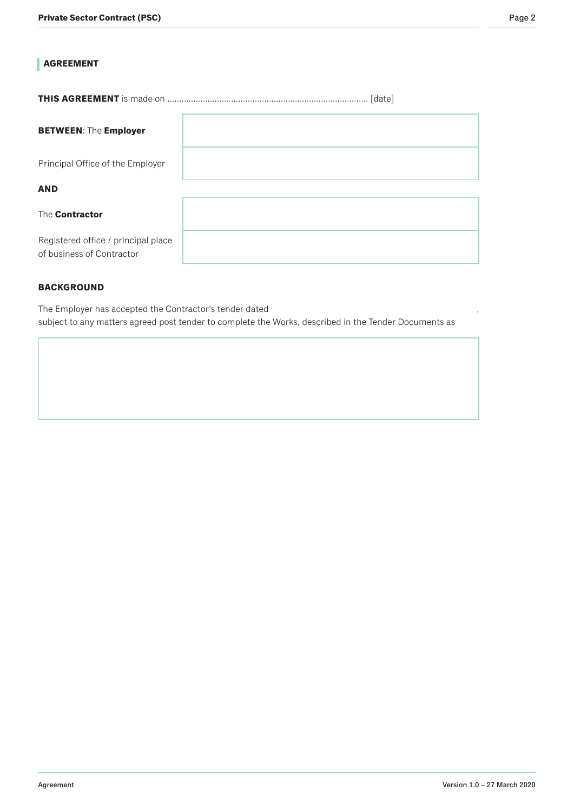# **AGREEMENT**

**THIS AGREEMENT** is made on ……………………..............................…………………………. [date]

| <b>BETWEEN: The Employer</b>                                     |  |
|------------------------------------------------------------------|--|
| Principal Office of the Employer                                 |  |
| <b>AND</b>                                                       |  |
| The Contractor                                                   |  |
| Registered office / principal place<br>of business of Contractor |  |

### **BACKGROUND**

The Employer has accepted the Contractor's tender dated subject to any matters agreed post tender to complete the Works, described in the Tender Documents as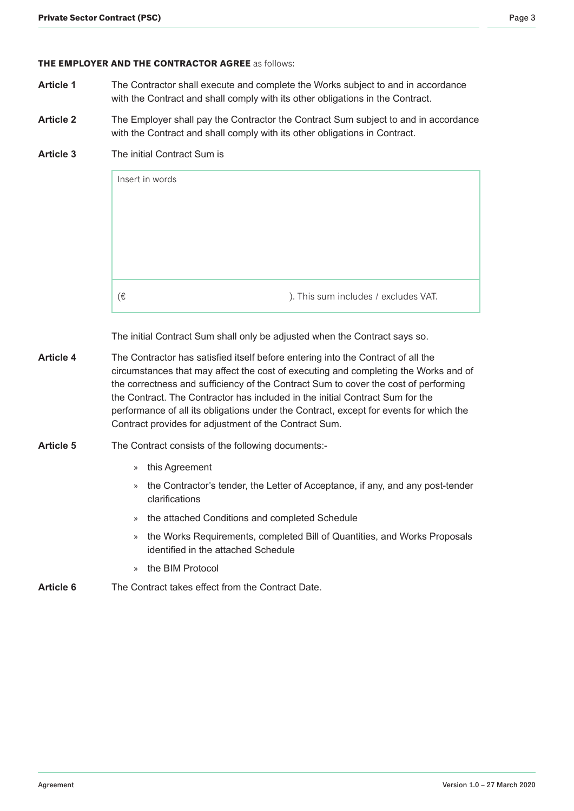#### **THE EMPLOYER AND THE CONTRACTOR AGREE** as follows:

- **Article 1** The Contractor shall execute and complete the Works subject to and in accordance with the Contract and shall comply with its other obligations in the Contract.
- Article 2 The Employer shall pay the Contractor the Contract Sum subject to and in accordance with the Contract and shall comply with its other obligations in Contract.

### **Article 3** The initial Contract Sum is

| Insert in words                            |  |
|--------------------------------------------|--|
|                                            |  |
|                                            |  |
|                                            |  |
|                                            |  |
|                                            |  |
|                                            |  |
|                                            |  |
|                                            |  |
|                                            |  |
|                                            |  |
|                                            |  |
|                                            |  |
|                                            |  |
| (€<br>). This sum includes / excludes VAT. |  |

The initial Contract Sum shall only be adjusted when the Contract says so.

**Article 4** The Contractor has satisfied itself before entering into the Contract of all the circumstances that may affect the cost of executing and completing the Works and of the correctness and sufficiency of the Contract Sum to cover the cost of performing the Contract. The Contractor has included in the initial Contract Sum for the performance of all its obligations under the Contract, except for events for which the Contract provides for adjustment of the Contract Sum.

### Article 5 The Contract consists of the following documents:-

- » this Agreement
- » the Contractor's tender, the Letter of Acceptance, if any, and any post-tender clarifications
- » the attached Conditions and completed Schedule
- » the Works Requirements, completed Bill of Quantities, and Works Proposals identified in the attached Schedule
- » the BIM Protocol

# **Article 6** The Contract takes effect from the Contract Date.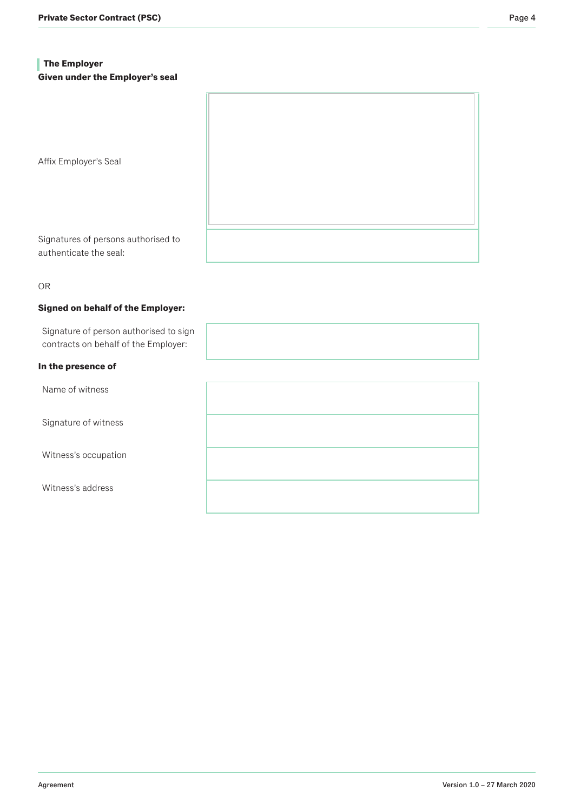# **The Employer Given under the Employer's seal**

Affix Employer's Seal

Signatures of persons authorised to authenticate the seal:

OR

#### **Signed on behalf of the Employer:**

Signature of person authorised to sign contracts on behalf of the Employer:

### **In the presence of**

Name of witness

Signature of witness

Witness's occupation

Witness's address